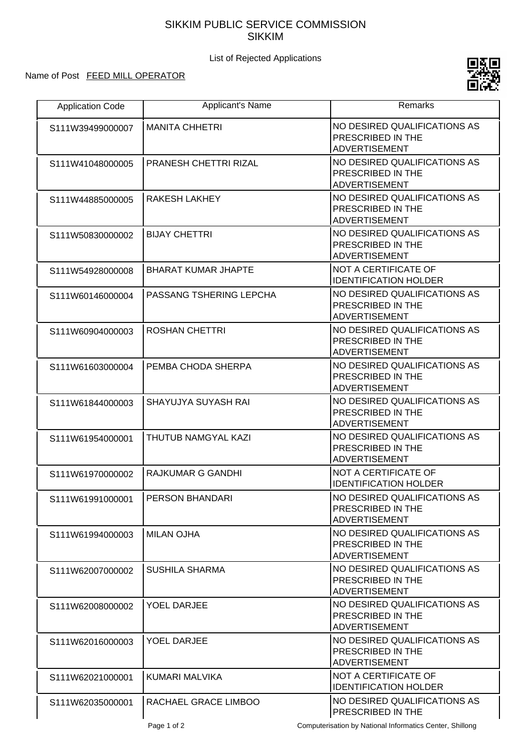## SIKKIM PUBLIC SERVICE COMMISSION SIKKIM

List of Rejected Applications

## Name of Post FEED MILL OPERATOR



| <b>Application Code</b> | <b>Applicant's Name</b>      | <b>Remarks</b>                                                                   |
|-------------------------|------------------------------|----------------------------------------------------------------------------------|
| S111W39499000007        | <b>MANITA CHHETRI</b>        | NO DESIRED QUALIFICATIONS AS<br>PRESCRIBED IN THE<br><b>ADVERTISEMENT</b>        |
| S111W41048000005        | <b>PRANESH CHETTRI RIZAL</b> | NO DESIRED QUALIFICATIONS AS<br>PRESCRIBED IN THE<br><b>ADVERTISEMENT</b>        |
| S111W44885000005        | <b>RAKESH LAKHEY</b>         | NO DESIRED QUALIFICATIONS AS<br>PRESCRIBED IN THE<br><b>ADVERTISEMENT</b>        |
| S111W50830000002        | <b>BIJAY CHETTRI</b>         | NO DESIRED QUALIFICATIONS AS<br>PRESCRIBED IN THE<br><b>ADVERTISEMENT</b>        |
| S111W54928000008        | <b>BHARAT KUMAR JHAPTE</b>   | <b>NOT A CERTIFICATE OF</b><br><b>IDENTIFICATION HOLDER</b>                      |
| S111W60146000004        | PASSANG TSHERING LEPCHA      | NO DESIRED QUALIFICATIONS AS<br>PRESCRIBED IN THE<br><b>ADVERTISEMENT</b>        |
| S111W60904000003        | <b>ROSHAN CHETTRI</b>        | NO DESIRED QUALIFICATIONS AS<br>PRESCRIBED IN THE<br><b>ADVERTISEMENT</b>        |
| S111W61603000004        | PEMBA CHODA SHERPA           | NO DESIRED QUALIFICATIONS AS<br>PRESCRIBED IN THE<br><b>ADVERTISEMENT</b>        |
| S111W61844000003        | <b>SHAYUJYA SUYASH RAI</b>   | NO DESIRED QUALIFICATIONS AS<br>PRESCRIBED IN THE<br><b>ADVERTISEMENT</b>        |
| S111W61954000001        | THUTUB NAMGYAL KAZI          | NO DESIRED QUALIFICATIONS AS<br>PRESCRIBED IN THE<br><b>ADVERTISEMENT</b>        |
| S111W61970000002        | <b>RAJKUMAR G GANDHI</b>     | <b>NOT A CERTIFICATE OF</b><br><b>IDENTIFICATION HOLDER</b>                      |
| S111W61991000001        | <b>PERSON BHANDARI</b>       | NO DESIRED QUALIFICATIONS AS<br>PRESCRIBED IN THE<br><b>ADVERTISEMENT</b>        |
| S111W61994000003        | <b>MILAN OJHA</b>            | NO DESIRED QUALIFICATIONS AS<br>PRESCRIBED IN THE<br><b>ADVERTISEMENT</b>        |
| S111W62007000002        | <b>SUSHILA SHARMA</b>        | NO DESIRED QUALIFICATIONS AS<br><b>PRESCRIBED IN THE</b><br><b>ADVERTISEMENT</b> |
| S111W62008000002        | <b>YOEL DARJEE</b>           | NO DESIRED QUALIFICATIONS AS<br><b>PRESCRIBED IN THE</b><br><b>ADVERTISEMENT</b> |
| S111W62016000003        | <b>YOEL DARJEE</b>           | NO DESIRED QUALIFICATIONS AS<br>PRESCRIBED IN THE<br><b>ADVERTISEMENT</b>        |
| S111W62021000001        | KUMARI MALVIKA               | <b>NOT A CERTIFICATE OF</b><br><b>IDENTIFICATION HOLDER</b>                      |
| S111W62035000001        | RACHAEL GRACE LIMBOO         | NO DESIRED QUALIFICATIONS AS<br>PRESCRIBED IN THE                                |

Page 1 of 2 Computerisation by National Informatics Center, Shillong